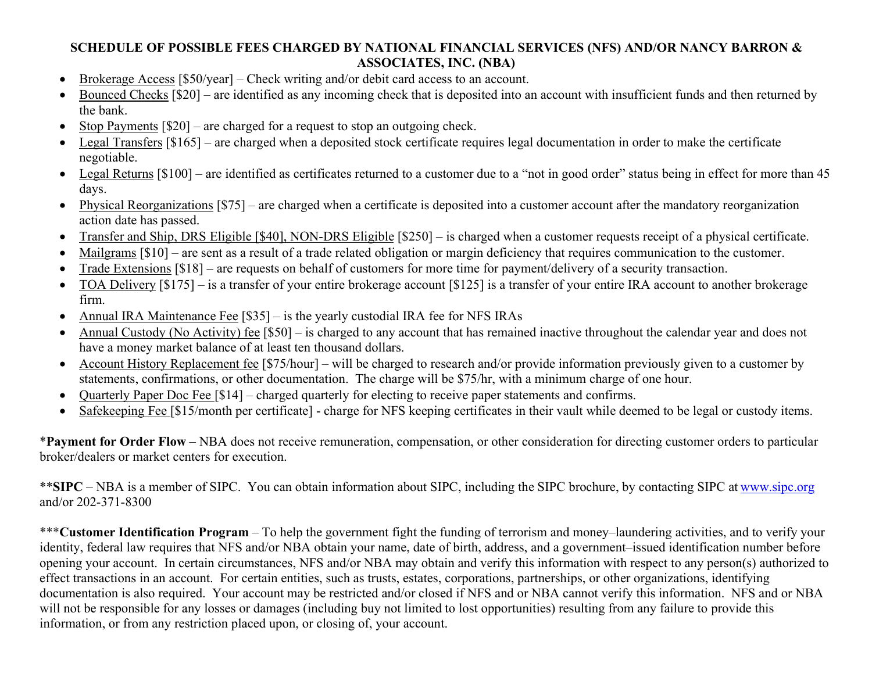## SCHEDULE OF POSSIBLE FEES CHARGED BY NATIONAL FINANCIAL SERVICES (NFS) AND/OR NANCY BARRON & ASSOCIATES, INC. (NBA)

- Brokerage Access [\$50/year] Check writing and/or debit card access to an account.
- Bounced Checks [\$20] are identified as any incoming check that is deposited into an account with insufficient funds and then returned by the bank.
- Stop Payments  $[$20]$  are charged for a request to stop an outgoing check.
- Legal Transfers [\$165] are charged when a deposited stock certificate requires legal documentation in order to make the certificate negotiable.
- Legal Returns [\$100] are identified as certificates returned to a customer due to a "not in good order" status being in effect for more than 45 days.
- Physical Reorganizations [\$75] are charged when a certificate is deposited into a customer account after the mandatory reorganization action date has passed.
- Transfer and Ship, DRS Eligible [\$40], NON-DRS Eligible [\$250] is charged when a customer requests receipt of a physical certificate.
- Mailgrams  $\lceil \$10\rceil$  are sent as a result of a trade related obligation or margin deficiency that requires communication to the customer.
- Trade Extensions [\$18] are requests on behalf of customers for more time for payment/delivery of a security transaction.
- TOA Delivery [\$175] is a transfer of your entire brokerage account [\$125] is a transfer of your entire IRA account to another brokerage firm.
- Annual IRA Maintenance Fee [\$35] is the yearly custodial IRA fee for NFS IRAs
- Annual Custody (No Activity) fee [\$50] is charged to any account that has remained inactive throughout the calendar year and does not have a money market balance of at least ten thousand dollars.
- Account History Replacement fee [\$75/hour] will be charged to research and/or provide information previously given to a customer by statements, confirmations, or other documentation. The charge will be \$75/hr, with a minimum charge of one hour.
- Quarterly Paper Doc Fee [\$14] charged quarterly for electing to receive paper statements and confirms.
- Safekeeping Fee [\$15/month per certificate] charge for NFS keeping certificates in their vault while deemed to be legal or custody items.

\*Payment for Order Flow – NBA does not receive remuneration, compensation, or other consideration for directing customer orders to particular broker/dealers or market centers for execution.

\*\*SIPC – NBA is a member of SIPC. You can obtain information about SIPC, including the SIPC brochure, by contacting SIPC at www.sipc.org and/or 202-371-8300

\*\*\*Customer Identification Program – To help the government fight the funding of terrorism and money–laundering activities, and to verify your identity, federal law requires that NFS and/or NBA obtain your name, date of birth, address, and a government–issued identification number before opening your account. In certain circumstances, NFS and/or NBA may obtain and verify this information with respect to any person(s) authorized to effect transactions in an account. For certain entities, such as trusts, estates, corporations, partnerships, or other organizations, identifying documentation is also required. Your account may be restricted and/or closed if NFS and or NBA cannot verify this information. NFS and or NBA will not be responsible for any losses or damages (including buy not limited to lost opportunities) resulting from any failure to provide this information, or from any restriction placed upon, or closing of, your account.